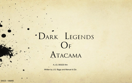# · DARK LEGENDS OF Atacama

A J.G. BIGGS film

Written by J.G. Biggs and Manuel di Zio

SACD : 128293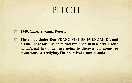### PITCH

- **1540, Chile, Atacama Desert.**
- **The conquistador Don FRANCISCO DE FUENZALIDA and**   $\bigcirc$ **his men have for mission to find two Spanish deserters. Under an infernal heat, they are going to discover an enemy so mysterious as terrifying. Their survival is now at stake.**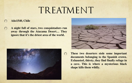## TREATMENT

#### **Año1540, Chile**

**A night full of stars, two conquistadors run away through the Atacama Desert… They ignore that it's the driest area of the world.**





**These two deserters stole some important documents belonging to the Spanish crown. Exhausted, thirsty, they find finally refuge in a cave. This is where a mysterious black shape kills them wildly.**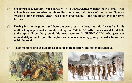- **On horseback, captain Don Francisco DE FUENZALIDA watches how a small Inca**   $\cap$ **village is reduced to ashes by his soldiers. Screams, pain, tears of the natives. Spanish swords killing merciless, dead Inca bodies everywhere… and the blood dyes the river in… red.**
- **During his interrogation (and before a sword cuts his head), an old Inca talks, in his mother language, about a threat, evoking the "NIUSTA". After his clear-cut head falls and stops still on the ground, his eyes seem to fix FUENZALIDA who goes out immediately of his torpor. The captain ends the massacre by giving the order to his men to hit the road.**
- **Their mission: find as quickly as possible both deserters and stolen documents.**◯



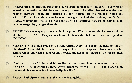- **Under a crushing heat, the expedition starts again immediately. The caravan consists of**   $\circ$ **armed to the teeth conquistadors and Incas prisoners. The latter, charged as mules, and chained between them, are tortured by the soldiers. In the Spanish ranks are VALIENTE, a black slave who become the right hand of the captain, and SANTA CRUZ, commander who is in direct conflict with Fuenzalida (because he cannot stand being managed by younger than him).**
- **FELIPILLO, a teenager prisoner, is the interpreter. Worried about the last words of the**   $\circ$ **old Inca, FUENZALIDA questions him. The translator tells him then the legend of "NIUSTA" …**
- **NIUSTA, girl of a high priest of the sun, returns every night from the dead to kill the**   $\circ$ **"baptized" (Spanish), to avenge her people. FELIPILLO speaks also about a solar eclipse which approaches and would increase the avenging hatred of the resuscitated princess.**
- **Confused, FUENZALIDA and his soldiers do not know how to interpret this story.**   $\circ$ **SANTA CRUZ, outraged by these words, beats violently FELIPILLO to silence him. Fuenzalida has to interfere to save Felipillo's life !**
- **Between both Spanish captains, the tension is tangible.** $\bigcap$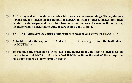- $\circ$ **At freezing and silent night, a spanish soldier watches the surroundings. The mysterious « black shape » sneaks in the camp… It appears in front of guard, strikes him, then bends over the corpse and leaves him two marks on the neck. As soon as the sun rises, the mysterious « black shape », disappears behind a hill of sand.**
- **VALIENTE discovers the corpse of his brother of weapon and warns FUENZALIDA.**
- **A doubt invades the captain … " And if FELIPILLO was right… told the truth about**   $\bigcap$ **the NIUSTA? »**
- **To maintain the order in his troop, avoid the desperation and keep his men focus on**   $\bigcirc$ **their mission, FUENZALIDA orders VALIENTE to lie to the rest of the group: the "missing" soldier will have simply deserted.**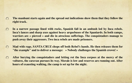- **The manhunt starts again and the spread out indications show them that they follow the**   $\circ$ **right track.**
- **In a narrow passage lined with rocks, Spanish fall in an ambush led by Inca rebels.**   $\Omega$ **Inca's lances and sharp axes against heavy arquebuses of the Spaniards. In both camps, warriors are « pierced » and die in atrocious sufferings. The conquistadors manage to push away their aggressors. Two inca rebels are made prisoners.**
- **Mad with rage, SANTA CRUZ chops off both Rebel's hands. He then releases them for**   $\bigcirc$ **"the example" and to deliver a message: » Nobody challenges the Spanish crown! »**
- **After burying the conquistadors and letting rot the Inca corpses at the mercy of the**   $\circ$ **vultures, the caravan pursues its way. Morale is low and reserves are running out. After hours of exausting walking, the camp is set up for the night.**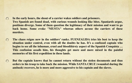- **In the early hours, the shout of a carrier wakes soldiers and prisoners.**  $\circ$ **Two Spanish are found dead, with curious wounds looking like bites. Spaniards argue, positions diverge. Some of them question the legitimacy of their mission and want to go back home. Some evoke "NIUSTA" whereas others accuse the carriers of these murders.**
- **The chaos reigns now in the soldiers' ranks. FUENZALIDA tries his best to keep the**   $\bigcirc$ **situation under control, even with all the doubts he has. It's a confused captain who begins to see all the inhuman, cruel and bloodthirsty aspect of the Spanish Conquista … This confusion assails him, his thoughts get more and more mixed in the painful memories of his first expedition in these lands.**
- **But the captain knows that he cannot return without the stolen documents and thus**   $\bigcap$ **orders to his troop to take back the mission. While SANTA CRUZ (wounded during the ambush) recovers, he is more and more aggressive to his captain and the slaves.**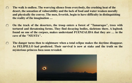- $\circ$ **The walk is endless. The worrying silence from everybody, the crushing heat of the desert, the sensation of vulnerability and the lack of food and water weaken morally and physically the convoy. The men, feverish, begin to have difficulty in distinguishing the reality of the imagination …**
- **On the track of the deserters, the troop enters a forest of "Tamarugos", trees with**   $\bigcirc$ **tortured and threatening forms. They find decaying bodies, skeletons there. A logbook found on one of the corpses, makes understand FUENZALIDA that they are … in the cave of the "NIUSTA".**
- **The danger turns then to nightmare when a total eclipse makes the daytime disappear.**   $\circ$ **As FELIPILLO had predicted. Their survival is now at stake and the truth on the mysterious princess Inca soon revealed.**

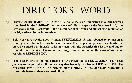# DIRECTOR'S WORD

- **Historic thriller, DARK LEGENDS OF ATACAMA is a denunciation of all the horrors**   $\bigcirc$ **committed by the "civilized" on the "savages". By Europe on the New World. By the Christians on the " lost souls ". It's a reminder of the rape and almost extermination of the big native cultures in Americas.**
- $\bigcirc$ **This story also speaks about a man, FUENZALIDA. A man obliged to return in a country where he had sworn to never return. The deeper he goes in these lands, the more he is faced with himself, in his past acts, with the atrocities that he saw and had to commit. Love, Family, Origins and Fate, urge him to question on the sense of his life, in search for REDEMPTION.**
- $\circ$  **This search, one of the main themes of the movie, takes FUENZALIDA to a forced journey to the purgatory through a way that has only two issues: LIFE or DEATH. He can either stay a DAMNED SOUL or know FORGIVENESS. Our main character is constantly between these two possibilities.**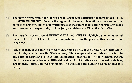- $\circ$ **The movie draws from the Chilean urban legends, in particular the most known: THE LEGEND OF NIUSTA. Born in the region of Atacama, this myth tells the resurrection of an Inca princess, girl of a powerful priest of the sun, who kills the Spanish Christians and avenges her people. Today still, in July, we celebrate in Chile, the "NIUSTA".**
- **The parallel stories around FUENZALIDA and NIUSTA highlights another essential**   $\circ$ **theme: THE LOST LOVE. For the conquistador as for the princess this is a source of vengeance.**
- $\circ$  **The blueprint of this movie is clearly paralyzing FEAR of the UNKNOWN, fear fed by the chivalry novels from the XVth century. The Conquistador and his men believe in any sorts of SUPERSTITIONS and crepuscular imagination. In the Atacama Desert, life flirts constantly between DREAM and REALITY. Mirages are mixed with fear, strong heat, thirst, and freezing nights. The thirst and the hunger become an invisible enemy.**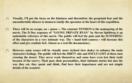- **Visually, I'll put the focus on the faintness and discomfort, the perpetual fear and the**   $\Omega$ **uncomfortable silences to immerse totally the spectator at the heart of this expedition.**
- **There will be no escape, no « pause ». The constant TENSION is the mainspring of the**   $\circ$ **movie. The D Day sequence of "SAVING PRIVATE RYAN" by Steven Spielberg is an undeniable reference of this movie. The public will feel the pain and the SUFFERING of the characters in a very intimate way. The « hand held camera » will increase this effect and give realistic feel. Almost as a real life documentary.**
- **However, some scenes will be visually more stylized (less shaky) to enhance the main**   $\bigcirc$ **characters feelings. The public will feel the DIRTY side and SOULS LOST of these men crossing the desert. They never wash themselves and some have even lost their teeth because of the scurvy. Their past, their personalities, their intimate stories but also the way they eat, they speak and think, find here their importance and are not simple details of the scenario.**